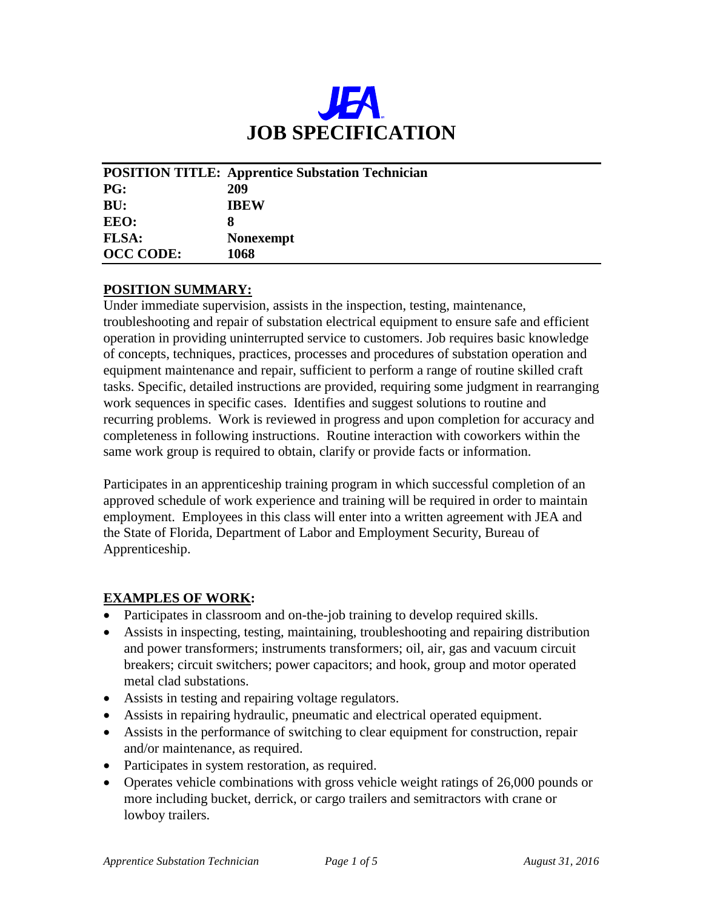

|                  | <b>POSITION TITLE: Apprentice Substation Technician</b> |
|------------------|---------------------------------------------------------|
| <b>PG:</b>       | 209                                                     |
| BU:              | <b>IBEW</b>                                             |
| EEO:             | 8                                                       |
| <b>FLSA:</b>     | <b>Nonexempt</b>                                        |
| <b>OCC CODE:</b> | 1068                                                    |

#### **POSITION SUMMARY:**

Under immediate supervision, assists in the inspection, testing, maintenance, troubleshooting and repair of substation electrical equipment to ensure safe and efficient operation in providing uninterrupted service to customers. Job requires basic knowledge of concepts, techniques, practices, processes and procedures of substation operation and equipment maintenance and repair, sufficient to perform a range of routine skilled craft tasks. Specific, detailed instructions are provided, requiring some judgment in rearranging work sequences in specific cases. Identifies and suggest solutions to routine and recurring problems. Work is reviewed in progress and upon completion for accuracy and completeness in following instructions. Routine interaction with coworkers within the same work group is required to obtain, clarify or provide facts or information.

Participates in an apprenticeship training program in which successful completion of an approved schedule of work experience and training will be required in order to maintain employment. Employees in this class will enter into a written agreement with JEA and the State of Florida, Department of Labor and Employment Security, Bureau of Apprenticeship.

#### **EXAMPLES OF WORK:**

- Participates in classroom and on-the-job training to develop required skills.
- Assists in inspecting, testing, maintaining, troubleshooting and repairing distribution and power transformers; instruments transformers; oil, air, gas and vacuum circuit breakers; circuit switchers; power capacitors; and hook, group and motor operated metal clad substations.
- Assists in testing and repairing voltage regulators.
- Assists in repairing hydraulic, pneumatic and electrical operated equipment.
- Assists in the performance of switching to clear equipment for construction, repair and/or maintenance, as required.
- Participates in system restoration, as required.
- Operates vehicle combinations with gross vehicle weight ratings of 26,000 pounds or more including bucket, derrick, or cargo trailers and semitractors with crane or lowboy trailers.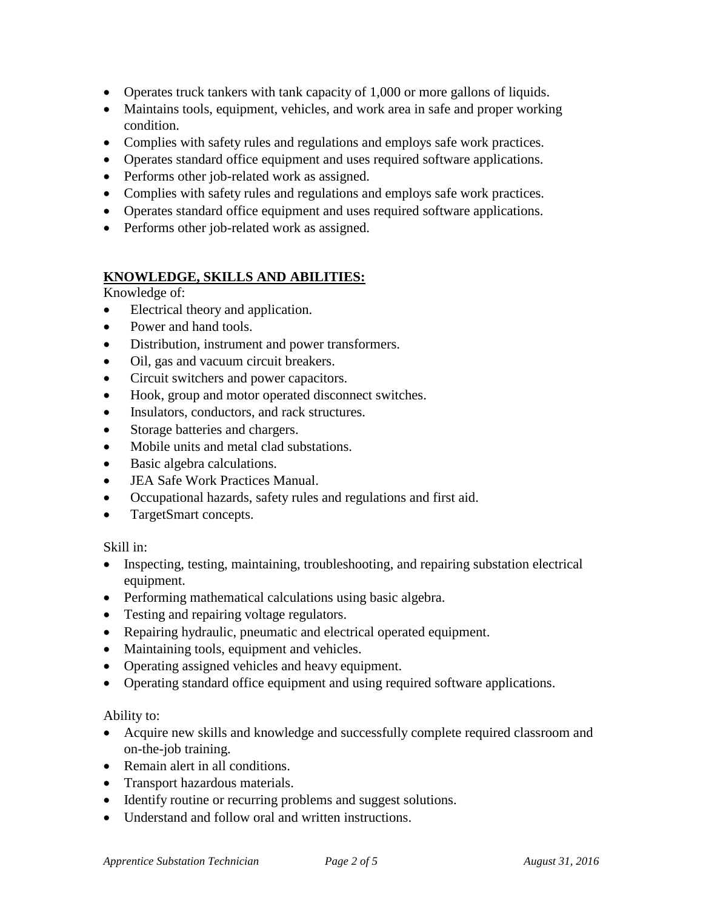- Operates truck tankers with tank capacity of 1,000 or more gallons of liquids.
- Maintains tools, equipment, vehicles, and work area in safe and proper working condition.
- Complies with safety rules and regulations and employs safe work practices.
- Operates standard office equipment and uses required software applications.
- Performs other job-related work as assigned.
- Complies with safety rules and regulations and employs safe work practices.
- Operates standard office equipment and uses required software applications.
- Performs other job-related work as assigned.

# **KNOWLEDGE, SKILLS AND ABILITIES:**

Knowledge of:

- Electrical theory and application.
- Power and hand tools.
- Distribution, instrument and power transformers.
- Oil, gas and vacuum circuit breakers.
- Circuit switchers and power capacitors.
- Hook, group and motor operated disconnect switches.
- Insulators, conductors, and rack structures.
- Storage batteries and chargers.
- Mobile units and metal clad substations.
- Basic algebra calculations.
- JEA Safe Work Practices Manual.
- Occupational hazards, safety rules and regulations and first aid.
- TargetSmart concepts.

## Skill in:

- Inspecting, testing, maintaining, troubleshooting, and repairing substation electrical equipment.
- Performing mathematical calculations using basic algebra.
- Testing and repairing voltage regulators.
- Repairing hydraulic, pneumatic and electrical operated equipment.
- Maintaining tools, equipment and vehicles.
- Operating assigned vehicles and heavy equipment.
- Operating standard office equipment and using required software applications.

## Ability to:

- Acquire new skills and knowledge and successfully complete required classroom and on-the-job training.
- Remain alert in all conditions.
- Transport hazardous materials.
- Identify routine or recurring problems and suggest solutions.
- Understand and follow oral and written instructions.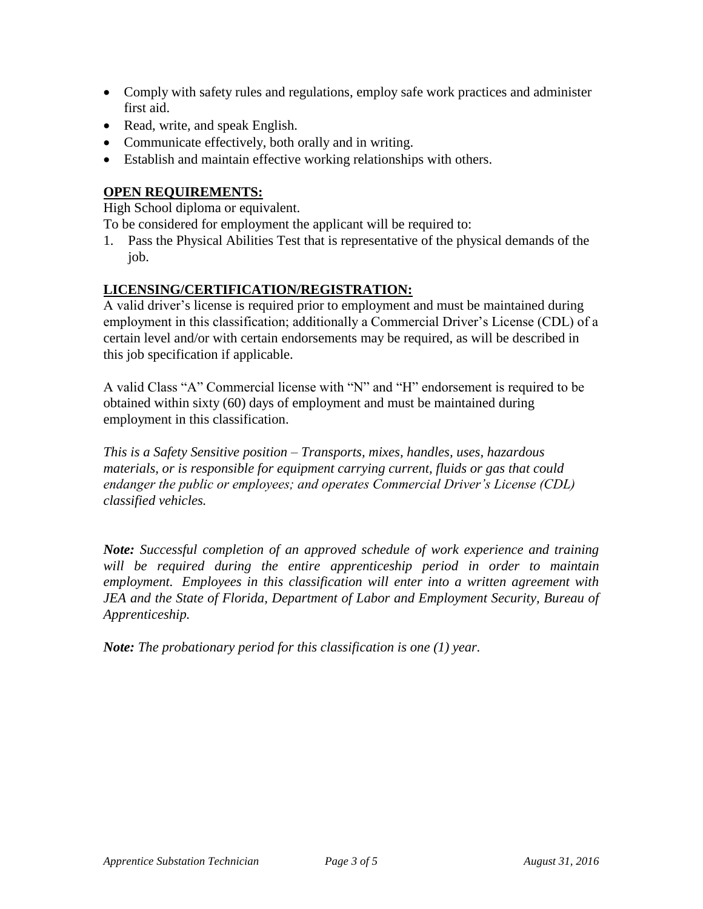- Comply with safety rules and regulations, employ safe work practices and administer first aid.
- Read, write, and speak English.
- Communicate effectively, both orally and in writing.
- Establish and maintain effective working relationships with others.

# **OPEN REQUIREMENTS:**

High School diploma or equivalent.

To be considered for employment the applicant will be required to:

1. Pass the Physical Abilities Test that is representative of the physical demands of the job.

### **LICENSING/CERTIFICATION/REGISTRATION:**

A valid driver's license is required prior to employment and must be maintained during employment in this classification; additionally a Commercial Driver's License (CDL) of a certain level and/or with certain endorsements may be required, as will be described in this job specification if applicable.

A valid Class "A" Commercial license with "N" and "H" endorsement is required to be obtained within sixty (60) days of employment and must be maintained during employment in this classification.

*This is a Safety Sensitive position – Transports, mixes, handles, uses, hazardous materials, or is responsible for equipment carrying current, fluids or gas that could endanger the public or employees; and operates Commercial Driver's License (CDL) classified vehicles.*

*Note: Successful completion of an approved schedule of work experience and training will be required during the entire apprenticeship period in order to maintain employment. Employees in this classification will enter into a written agreement with*  **JEA and the State of Florida, Department of Labor and Employment Security, Bureau of** *Apprenticeship.*

*Note: The probationary period for this classification is one (1) year.*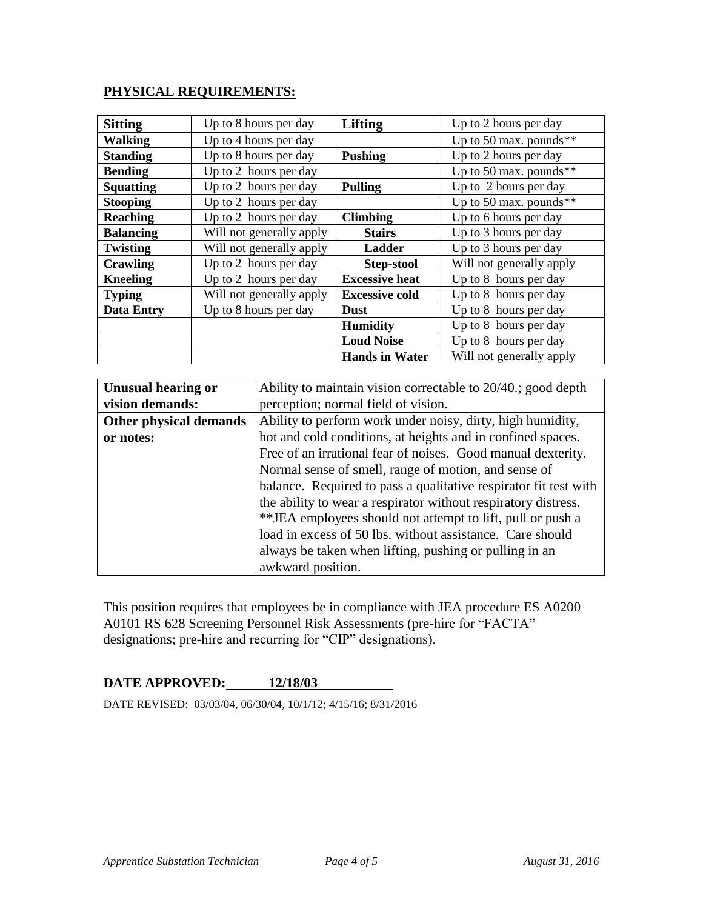### **PHYSICAL REQUIREMENTS:**

| <b>Sitting</b>    | Up to 8 hours per day    | Lifting                                        | Up to 2 hours per day    |
|-------------------|--------------------------|------------------------------------------------|--------------------------|
| <b>Walking</b>    | Up to 4 hours per day    |                                                | Up to 50 max. pounds**   |
| <b>Standing</b>   | Up to 8 hours per day    | <b>Pushing</b>                                 | Up to 2 hours per day    |
| <b>Bending</b>    | Up to 2 hours per day    |                                                | Up to 50 max. pounds**   |
| <b>Squatting</b>  | Up to 2 hours per day    | Up to 2 hours per day<br><b>Pulling</b>        |                          |
| <b>Stooping</b>   | Up to 2 hours per day    |                                                | Up to 50 max. pounds**   |
| <b>Reaching</b>   | Up to 2 hours per day    | <b>Climbing</b>                                | Up to 6 hours per day    |
| <b>Balancing</b>  | Will not generally apply | <b>Stairs</b>                                  | Up to 3 hours per day    |
| <b>Twisting</b>   | Will not generally apply | Ladder                                         | Up to 3 hours per day    |
| Crawling          | Up to 2 hours per day    | <b>Step-stool</b>                              | Will not generally apply |
| <b>Kneeling</b>   | Up to 2 hours per day    | Up to 8 hours per day<br><b>Excessive heat</b> |                          |
| <b>Typing</b>     | Will not generally apply | <b>Excessive cold</b>                          | Up to 8 hours per day    |
| <b>Data Entry</b> | Up to 8 hours per day    | <b>Dust</b>                                    | Up to 8 hours per day    |
|                   |                          | <b>Humidity</b>                                | Up to 8 hours per day    |
|                   |                          | <b>Loud Noise</b>                              | Up to 8 hours per day    |
|                   |                          | <b>Hands in Water</b>                          | Will not generally apply |

| <b>Unusual hearing or</b>     | Ability to maintain vision correctable to 20/40.; good depth     |  |  |  |
|-------------------------------|------------------------------------------------------------------|--|--|--|
| vision demands:               | perception; normal field of vision.                              |  |  |  |
| <b>Other physical demands</b> | Ability to perform work under noisy, dirty, high humidity,       |  |  |  |
| or notes:                     | hot and cold conditions, at heights and in confined spaces.      |  |  |  |
|                               | Free of an irrational fear of noises. Good manual dexterity.     |  |  |  |
|                               | Normal sense of smell, range of motion, and sense of             |  |  |  |
|                               | balance. Required to pass a qualitative respirator fit test with |  |  |  |
|                               | the ability to wear a respirator without respiratory distress.   |  |  |  |
|                               | ** JEA employees should not attempt to lift, pull or push a      |  |  |  |
|                               | load in excess of 50 lbs. without assistance. Care should        |  |  |  |
|                               | always be taken when lifting, pushing or pulling in an           |  |  |  |
|                               | awkward position.                                                |  |  |  |

This position requires that employees be in compliance with JEA procedure ES A0200 A0101 RS 628 Screening Personnel Risk Assessments (pre-hire for "FACTA" designations; pre-hire and recurring for "CIP" designations).

# **DATE APPROVED: 12/18/03**

DATE REVISED: 03/03/04, 06/30/04, 10/1/12; 4/15/16; 8/31/2016